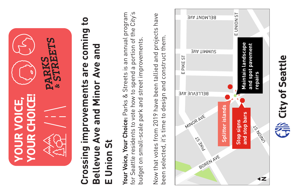

# **Crossing improvements are coming to**   $\mathbf{c}$ coming **Bellevue Ave and Minor Ave and**  Bellevue Ave and Minor Ave and Crossing improvements are **E Union St Union St** Ш

**Your Voice, Your Choice:** Parks & Streets is an annual program for Seattle residents to vote how to spend a portion of the City's Your Voice, Your Choice: Parks & Streets is an annual program for Seattle residents to vote how to spend a portion of the City's budget on small-scale park and street improvements. budget on small-scale park and street improvements.

Now that votes from 2019 have been tallied and projects have Now that votes from 2019 have been tallied and projects have construct them. been selected, it's time to design and construct them. been selected, it's time to design and



City of Seattle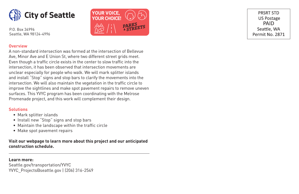

P.O. Box 34996 Seattle, WA 98124-4996



PRSRT STD **US Postage** PAID Seattle, WA Permit No. 2871

#### **Overview**

A non-standard intersection was formed at the intersection of Bellevue Ave, Minor Ave and E Union St, where two different street grids meet. Even though a traffic circle exists in the center to slow traffic into the intersection, it has been observed that intersection movements are unclear especially for people who walk. We will mark splitter islands and install "Stop" signs and stop bars to clarify the movements into the intersection. We will also maintain the vegetation in the traffic circle to improve the sightlines and make spot pavement repairs to remove uneven surfaces. This YVYC program has been coordinating with the Melrose Promenade project, and this work will complement their design.

#### **Solutions**

- Mark splitter islands
- Install new "Stop" signs and stop bars
- Maintain the landscape within the traffic circle
- Make spot pavement repairs

**Visit our webpage to learn more about this project and our anticipated construction schedule.**

#### **Learn more:**

Seattle.gov/transportation/YVYC YVYC\_Projects@seattle.gov | (206) 316-2549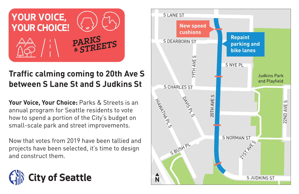

## **Traffic calming coming to 20th Ave S between S Lane St and S Judkins St**

**Your Voice, Your Choice:** Parks & Streets is an annual program for Seattle residents to vote how to spend a portion of the City's budget on small-scale park and street improvements.

Now that votes from 2019 have been tallied and projects have been selected, it's time to design and construct them.



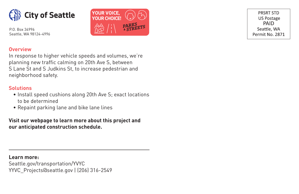

P.O. Box 34996 Seattle, WA 98124-4996



PRSRT STD **US Postage** PAID Seattle, WA Permit No. 2871

#### **Overview**

In response to higher vehicle speeds and volumes, we're planning new traffic calming on 20th Ave S, between S Lane St and S Judkins St, to increase pedestrian and neighborhood safety.

#### **Solutions**

- Install speed cushions along 20th Ave S; exact locations to be determined
- Repaint parking lane and bike lane lines

**Visit our webpage to learn more about this project and our anticipated construction schedule.**

**Learn more:** Seattle.gov/transportation/YVYC YYVC\_Projects@seattle.gov | (206) 316-2549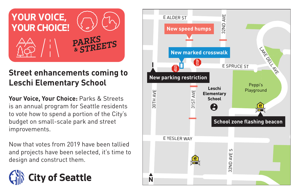

### **Street enhancements coming to Leschi Elementary School**

**Your Voice, Your Choice:** Parks & Streets is an annual program for Seattle residents to vote how to spend a portion of the City's budget on small-scale park and street improvements.

Now that votes from 2019 have been tallied and projects have been selected, it's time to design and construct them.



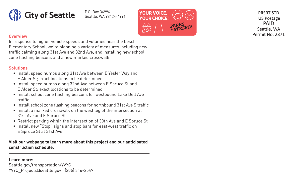

P.O. Box 34996 Seattle, WA 98124-4996 **YOUR VOICE,**



PRSRT STD **US Postage** PAID Seattle, WA Permit No. 2871

#### **Overview**

In response to higher vehicle speeds and volumes near the Leschi Elementary School, we're planning a variety of measures including new traffic calming along 31st Ave and 32nd Ave, and installing new school zone flashing beacons and a new marked crosswalk.

#### **Solutions**

- Install speed humps along 31st Ave between E Yesler Way and E Alder St; exact locations to be determined
- Install speed humps along 32nd Ave between E Spruce St and E Alder St; exact locations to be determined
- Install school zone flashing beacons for westbound Lake Dell Ave traffic
- Install school zone flashing beacons for northbound 31st Ave S traffic
- Install a marked crosswalk on the west leg of the intersection at 31st Ave and E Spruce St
- Restrict parking within the intersection of 30th Ave and E Spruce St
- Install new "Stop" signs and stop bars for east-west traffic on E Spruce St at 31st Ave

#### **Visit our webpage to learn more about this project and our anticipated construction schedule.**

#### **Learn more:**

Seattle.gov/transportation/YVYC YVYC\_Projects@seattle.gov | (206) 316-2549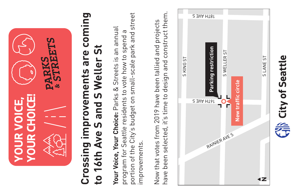

# **Crossing improvements are coming**  Crossing improvements are coming to 16th Ave S and S Weller St **to 16th Ave S and S Weller St**

portion of the City's budget on small-scale park and street portion of the City's budget on small-scale park and street **Your Voice, Your Choice:** Parks & Streets is an annual Your Voice, Your Choice: Parks & Streets is an annual program for Seattle residents to vote how to spend a program for Seattle residents to vote how to spend a improvements. improvements.

have been selected, it's time to design and construct them. have been selected, it's time to design and construct them. Now that votes from 2019 have been tallied and projects Now that votes from 2019 have been tallied and projects